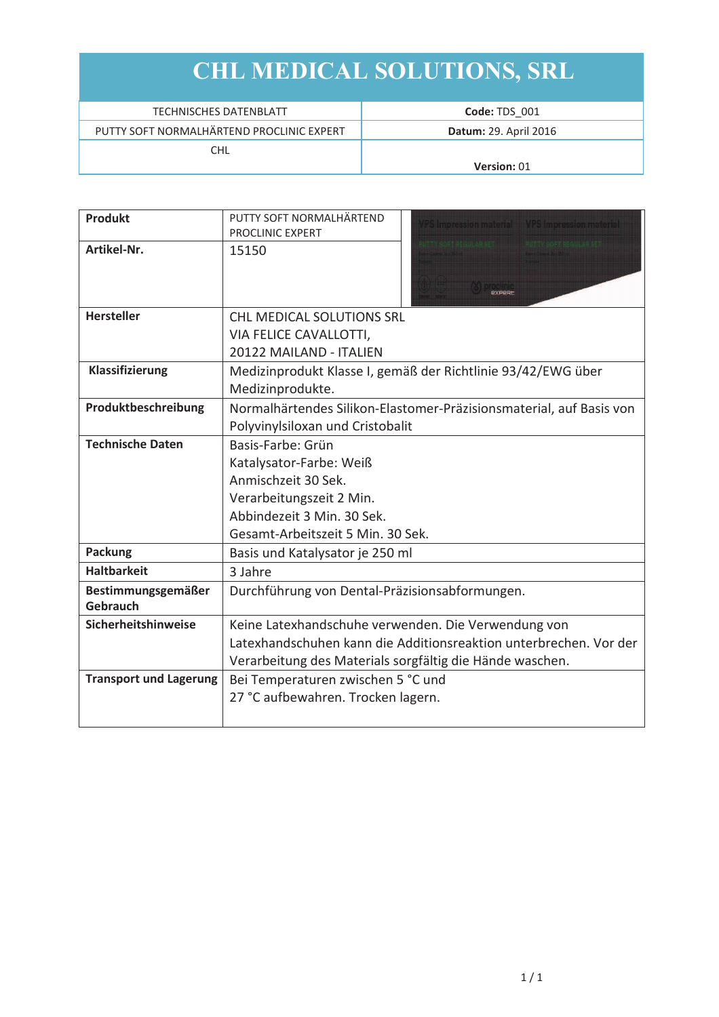| <b>TECHNISCHES DATENBLATT</b>             | Code: TDS 001                |
|-------------------------------------------|------------------------------|
| PUTTY SOFT NORMALHÄRTEND PROCLINIC EXPERT | <b>Datum: 29. April 2016</b> |
| CHL                                       |                              |
|                                           | Version: 01                  |

| <b>Produkt</b>                | PUTTY SOFT NORMALHÄRTEND<br>VPS Impression material VPS Impression material |  |  |
|-------------------------------|-----------------------------------------------------------------------------|--|--|
|                               | PROCLINIC EXPERT                                                            |  |  |
| Artikel-Nr.                   | <u>BITY RESERVED BY A SAMPLE BY</u><br>15150                                |  |  |
| <b>Hersteller</b>             | <b>CHL MEDICAL SOLUTIONS SRL</b>                                            |  |  |
|                               | VIA FELICE CAVALLOTTI,                                                      |  |  |
|                               | 20122 MAILAND - ITALIEN                                                     |  |  |
| Klassifizierung               | Medizinprodukt Klasse I, gemäß der Richtlinie 93/42/EWG über                |  |  |
|                               | Medizinprodukte.                                                            |  |  |
| Produktbeschreibung           | Normalhärtendes Silikon-Elastomer-Präzisionsmaterial, auf Basis von         |  |  |
|                               | Polyvinylsiloxan und Cristobalit                                            |  |  |
| <b>Technische Daten</b>       | Basis-Farbe: Grün                                                           |  |  |
|                               | Katalysator-Farbe: Weiß                                                     |  |  |
|                               | Anmischzeit 30 Sek.                                                         |  |  |
|                               | Verarbeitungszeit 2 Min.                                                    |  |  |
|                               | Abbindezeit 3 Min. 30 Sek.                                                  |  |  |
|                               | Gesamt-Arbeitszeit 5 Min. 30 Sek.                                           |  |  |
| <b>Packung</b>                | Basis und Katalysator je 250 ml                                             |  |  |
| <b>Haltbarkeit</b>            | 3 Jahre                                                                     |  |  |
| Bestimmungsgemäßer            | Durchführung von Dental-Präzisionsabformungen.                              |  |  |
| Gebrauch                      |                                                                             |  |  |
| Sicherheitshinweise           | Keine Latexhandschuhe verwenden. Die Verwendung von                         |  |  |
|                               | Latexhandschuhen kann die Additionsreaktion unterbrechen. Vor der           |  |  |
|                               | Verarbeitung des Materials sorgfältig die Hände waschen.                    |  |  |
| <b>Transport und Lagerung</b> | Bei Temperaturen zwischen 5 °C und                                          |  |  |
|                               | 27 °C aufbewahren. Trocken lagern.                                          |  |  |
|                               |                                                                             |  |  |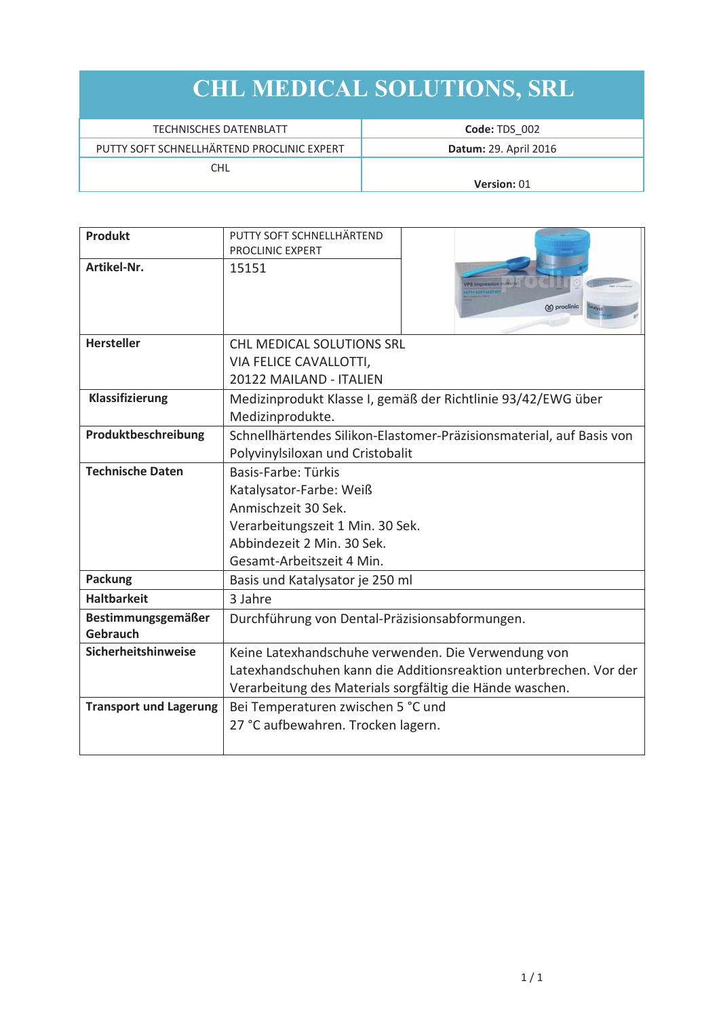| TECHNISCHES DATENBLATT                     | Code: TDS 002                |
|--------------------------------------------|------------------------------|
| PUTTY SOFT SCHNELLHÄRTEND PROCLINIC EXPERT | <b>Datum: 29. April 2016</b> |
| CHL                                        |                              |
|                                            | <b>Version: 01</b>           |

| <b>Produkt</b>                | PUTTY SOFT SCHNELLHÄRTEND                                            |                                                                   |  |
|-------------------------------|----------------------------------------------------------------------|-------------------------------------------------------------------|--|
|                               | PROCLINIC EXPERT                                                     |                                                                   |  |
| Artikel-Nr.                   | 15151                                                                | <b>/PS Impression materia</b><br>(8) proclinic                    |  |
| <b>Hersteller</b>             | <b>CHL MEDICAL SOLUTIONS SRL</b>                                     |                                                                   |  |
|                               | VIA FELICE CAVALLOTTI,                                               |                                                                   |  |
|                               | 20122 MAILAND - ITALIEN                                              |                                                                   |  |
| Klassifizierung               | Medizinprodukt Klasse I, gemäß der Richtlinie 93/42/EWG über         |                                                                   |  |
|                               | Medizinprodukte.                                                     |                                                                   |  |
| Produktbeschreibung           | Schnellhärtendes Silikon-Elastomer-Präzisionsmaterial, auf Basis von |                                                                   |  |
|                               | Polyvinylsiloxan und Cristobalit                                     |                                                                   |  |
| <b>Technische Daten</b>       | Basis-Farbe: Türkis                                                  |                                                                   |  |
|                               | Katalysator-Farbe: Weiß                                              |                                                                   |  |
|                               | Anmischzeit 30 Sek.                                                  |                                                                   |  |
|                               | Verarbeitungszeit 1 Min. 30 Sek.                                     |                                                                   |  |
|                               | Abbindezeit 2 Min. 30 Sek.                                           |                                                                   |  |
|                               | Gesamt-Arbeitszeit 4 Min.                                            |                                                                   |  |
| <b>Packung</b>                | Basis und Katalysator je 250 ml                                      |                                                                   |  |
| <b>Haltbarkeit</b>            | 3 Jahre                                                              |                                                                   |  |
| Bestimmungsgemäßer            | Durchführung von Dental-Präzisionsabformungen.                       |                                                                   |  |
| <b>Gebrauch</b>               |                                                                      |                                                                   |  |
| Sicherheitshinweise           | Keine Latexhandschuhe verwenden. Die Verwendung von                  |                                                                   |  |
|                               |                                                                      | Latexhandschuhen kann die Additionsreaktion unterbrechen. Vor der |  |
|                               | Verarbeitung des Materials sorgfältig die Hände waschen.             |                                                                   |  |
| <b>Transport und Lagerung</b> | Bei Temperaturen zwischen 5 °C und                                   |                                                                   |  |
|                               | 27 °C aufbewahren. Trocken lagern.                                   |                                                                   |  |
|                               |                                                                      |                                                                   |  |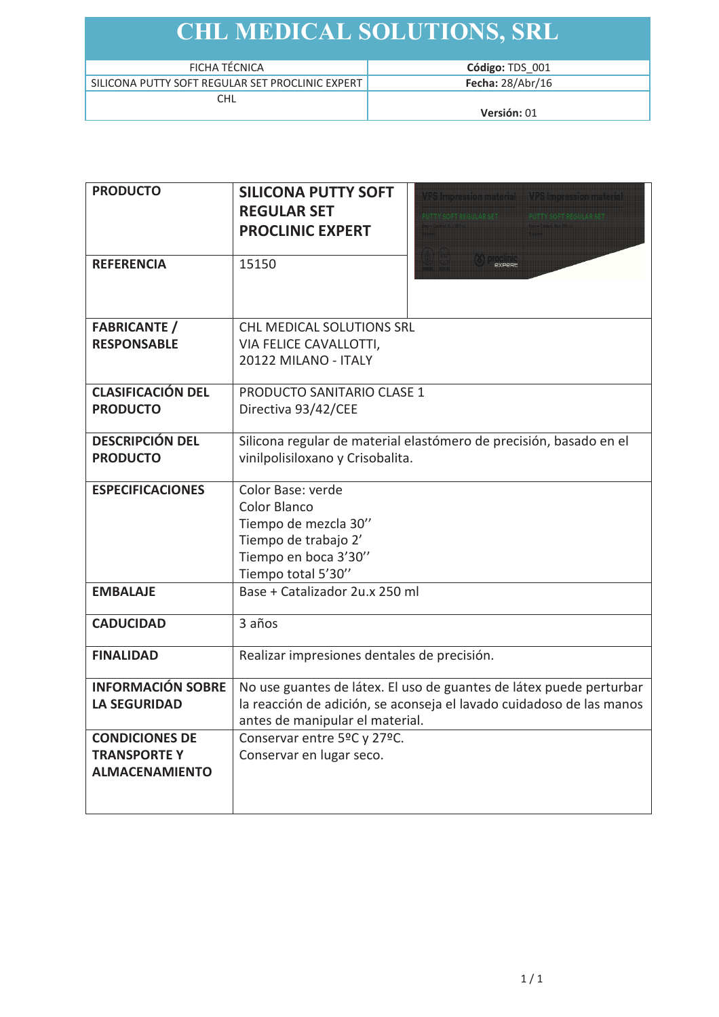| FICHA TÉCNICA                                    | Código: TDS 001    |
|--------------------------------------------------|--------------------|
| SILICONA PUTTY SOFT REGULAR SET PROCLINIC EXPERT | Fecha: $28/Abr/16$ |
| CHL                                              |                    |
|                                                  | Versión: 01        |

| <b>PRODUCTO</b>                                                      | <b>SILICONA PUTTY SOFT</b><br>VPS Impression material VPS Impression material<br><b>REGULAR SET</b><br>In Prison dia United Pr<br><b>ENTERNAMENTAL AND ALCOHOL</b><br><b>PROCLINIC EXPERT</b> |  |
|----------------------------------------------------------------------|-----------------------------------------------------------------------------------------------------------------------------------------------------------------------------------------------|--|
| <b>REFERENCIA</b>                                                    | 15150<br><b><i><u>PXPPRE</u></i></b>                                                                                                                                                          |  |
| <b>FABRICANTE</b> /<br><b>RESPONSABLE</b>                            | <b>CHL MEDICAL SOLUTIONS SRL</b><br>VIA FELICE CAVALLOTTI,<br>20122 MILANO - ITALY                                                                                                            |  |
| <b>CLASIFICACIÓN DEL</b><br><b>PRODUCTO</b>                          | <b>PRODUCTO SANITARIO CLASE 1</b><br>Directiva 93/42/CEE                                                                                                                                      |  |
| <b>DESCRIPCIÓN DEL</b><br><b>PRODUCTO</b>                            | Silicona regular de material elastómero de precisión, basado en el<br>vinilpolisiloxano y Crisobalita.                                                                                        |  |
| <b>ESPECIFICACIONES</b>                                              | Color Base: verde<br>Color Blanco<br>Tiempo de mezcla 30"<br>Tiempo de trabajo 2'<br>Tiempo en boca 3'30"<br>Tiempo total 5'30"                                                               |  |
| <b>EMBALAJE</b>                                                      | Base + Catalizador 2u.x 250 ml                                                                                                                                                                |  |
| <b>CADUCIDAD</b>                                                     | 3 años                                                                                                                                                                                        |  |
| <b>FINALIDAD</b>                                                     | Realizar impresiones dentales de precisión.                                                                                                                                                   |  |
| <b>INFORMACIÓN SOBRE</b><br><b>LA SEGURIDAD</b>                      | No use guantes de látex. El uso de guantes de látex puede perturbar<br>la reacción de adición, se aconseja el lavado cuidadoso de las manos<br>antes de manipular el material.                |  |
| <b>CONDICIONES DE</b><br><b>TRANSPORTEY</b><br><b>ALMACENAMIENTO</b> | Conservar entre 5°C y 27°C.<br>Conservar en lugar seco.                                                                                                                                       |  |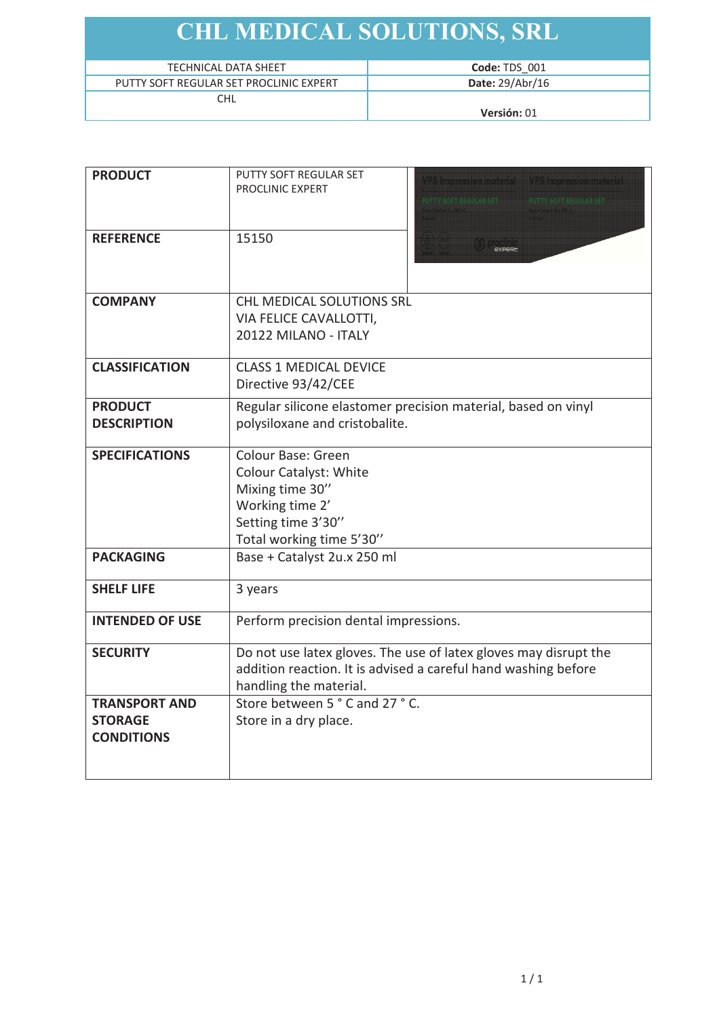| TECHNICAL DATA SHEET                    | Code: TDS 001   |
|-----------------------------------------|-----------------|
| PUTTY SOFT REGULAR SET PROCLINIC EXPERT | Date: 29/Abr/16 |
| <b>CHL</b>                              |                 |
|                                         | $V$ ersión: 01  |

| <b>PRODUCT</b>         | PUTTY SOFT REGULAR SET<br>VPS Impression material VPS Impression material |  |  |
|------------------------|---------------------------------------------------------------------------|--|--|
|                        | PROCLINIC EXPERT<br><b>E METASORI MACULANISH</b>                          |  |  |
|                        |                                                                           |  |  |
|                        |                                                                           |  |  |
| <b>REFERENCE</b>       | 15150                                                                     |  |  |
|                        |                                                                           |  |  |
|                        |                                                                           |  |  |
| <b>COMPANY</b>         | CHL MEDICAL SOLUTIONS SRL                                                 |  |  |
|                        | VIA FELICE CAVALLOTTI,                                                    |  |  |
|                        | 20122 MILANO - ITALY                                                      |  |  |
| <b>CLASSIFICATION</b>  | <b>CLASS 1 MEDICAL DEVICE</b>                                             |  |  |
|                        | Directive 93/42/CEE                                                       |  |  |
| <b>PRODUCT</b>         | Regular silicone elastomer precision material, based on vinyl             |  |  |
| <b>DESCRIPTION</b>     | polysiloxane and cristobalite.                                            |  |  |
|                        |                                                                           |  |  |
| <b>SPECIFICATIONS</b>  | <b>Colour Base: Green</b>                                                 |  |  |
|                        | <b>Colour Catalyst: White</b>                                             |  |  |
|                        | Mixing time 30"                                                           |  |  |
|                        | Working time 2'                                                           |  |  |
|                        | Setting time 3'30"                                                        |  |  |
|                        | Total working time 5'30"                                                  |  |  |
| <b>PACKAGING</b>       | Base + Catalyst 2u.x 250 ml                                               |  |  |
| <b>SHELF LIFE</b>      | 3 years                                                                   |  |  |
|                        |                                                                           |  |  |
| <b>INTENDED OF USE</b> | Perform precision dental impressions.                                     |  |  |
| <b>SECURITY</b>        | Do not use latex gloves. The use of latex gloves may disrupt the          |  |  |
|                        | addition reaction. It is advised a careful hand washing before            |  |  |
|                        | handling the material.                                                    |  |  |
| <b>TRANSPORT AND</b>   | Store between 5°C and 27°C.                                               |  |  |
| <b>STORAGE</b>         | Store in a dry place.                                                     |  |  |
| <b>CONDITIONS</b>      |                                                                           |  |  |
|                        |                                                                           |  |  |
|                        |                                                                           |  |  |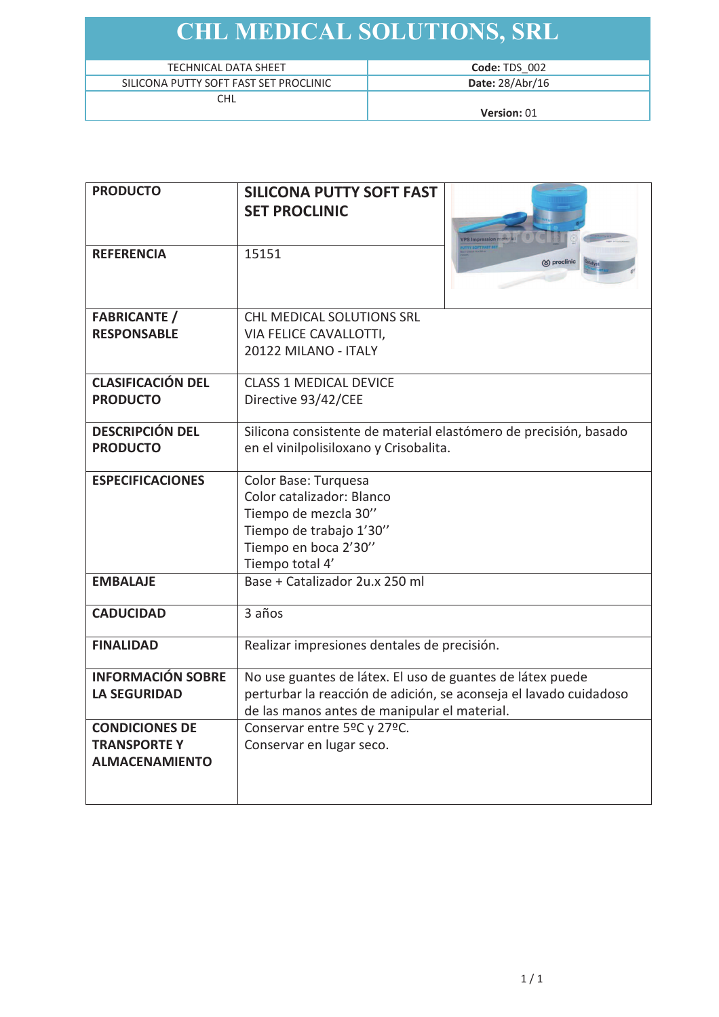| <b>TECHNICAL DATA SHEET</b>            |  |
|----------------------------------------|--|
| SILICONA PUTTY SOFT FAST SET PROCLINIC |  |
|                                        |  |

Version: 01

| <b>PRODUCTO</b>          | <b>SILICONA PUTTY SOFT FAST</b>                                   |                                |
|--------------------------|-------------------------------------------------------------------|--------------------------------|
|                          | <b>SET PROCLINIC</b>                                              |                                |
|                          |                                                                   |                                |
| <b>REFERENCIA</b>        | 15151                                                             | TY SOFT FAST SE<br>S proclinic |
|                          |                                                                   |                                |
|                          |                                                                   |                                |
| <b>FABRICANTE</b> /      | CHL MEDICAL SOLUTIONS SRL                                         |                                |
| <b>RESPONSABLE</b>       | VIA FELICE CAVALLOTTI,                                            |                                |
|                          | 20122 MILANO - ITALY                                              |                                |
| <b>CLASIFICACIÓN DEL</b> | <b>CLASS 1 MEDICAL DEVICE</b>                                     |                                |
| <b>PRODUCTO</b>          | Directive 93/42/CEE                                               |                                |
| <b>DESCRIPCIÓN DEL</b>   | Silicona consistente de material elastómero de precisión, basado  |                                |
| <b>PRODUCTO</b>          | en el vinilpolisiloxano y Crisobalita.                            |                                |
| <b>ESPECIFICACIONES</b>  | Color Base: Turquesa                                              |                                |
|                          | Color catalizador: Blanco                                         |                                |
|                          | Tiempo de mezcla 30"                                              |                                |
|                          | Tiempo de trabajo 1'30"                                           |                                |
|                          | Tiempo en boca 2'30"                                              |                                |
|                          | Tiempo total 4'                                                   |                                |
| <b>EMBALAJE</b>          | Base + Catalizador 2u.x 250 ml                                    |                                |
| <b>CADUCIDAD</b>         | 3 años                                                            |                                |
|                          |                                                                   |                                |
| <b>FINALIDAD</b>         | Realizar impresiones dentales de precisión.                       |                                |
| <b>INFORMACIÓN SOBRE</b> | No use guantes de látex. El uso de guantes de látex puede         |                                |
| <b>LA SEGURIDAD</b>      | perturbar la reacción de adición, se aconseja el lavado cuidadoso |                                |
|                          | de las manos antes de manipular el material.                      |                                |
| <b>CONDICIONES DE</b>    | Conservar entre 5°C y 27°C.                                       |                                |
| <b>TRANSPORTEY</b>       | Conservar en lugar seco.                                          |                                |
| <b>ALMACENAMIENTO</b>    |                                                                   |                                |
|                          |                                                                   |                                |
|                          |                                                                   |                                |